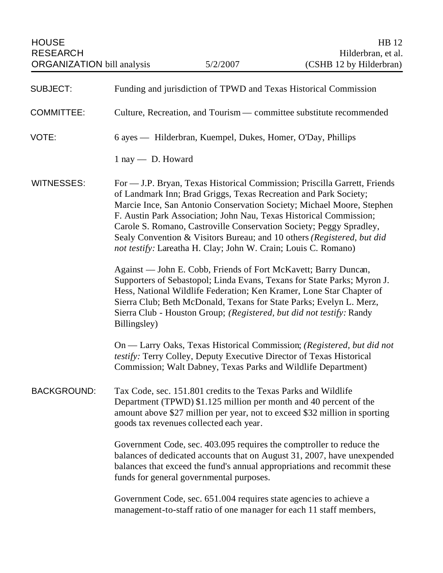| <b>SUBJECT:</b>    | Funding and jurisdiction of TPWD and Texas Historical Commission                                                                                                                                                                                                                                                                                                                                                                                                                                                |
|--------------------|-----------------------------------------------------------------------------------------------------------------------------------------------------------------------------------------------------------------------------------------------------------------------------------------------------------------------------------------------------------------------------------------------------------------------------------------------------------------------------------------------------------------|
| <b>COMMITTEE:</b>  | Culture, Recreation, and Tourism — committee substitute recommended                                                                                                                                                                                                                                                                                                                                                                                                                                             |
| VOTE:              | 6 ayes — Hilderbran, Kuempel, Dukes, Homer, O'Day, Phillips                                                                                                                                                                                                                                                                                                                                                                                                                                                     |
|                    | 1 nay - D. Howard                                                                                                                                                                                                                                                                                                                                                                                                                                                                                               |
| <b>WITNESSES:</b>  | For — J.P. Bryan, Texas Historical Commission; Priscilla Garrett, Friends<br>of Landmark Inn; Brad Griggs, Texas Recreation and Park Society;<br>Marcie Ince, San Antonio Conservation Society; Michael Moore, Stephen<br>F. Austin Park Association; John Nau, Texas Historical Commission;<br>Carole S. Romano, Castroville Conservation Society; Peggy Spradley,<br>Sealy Convention & Visitors Bureau; and 10 others (Registered, but did<br>not testify: Lareatha H. Clay; John W. Crain; Louis C. Romano) |
|                    | Against — John E. Cobb, Friends of Fort McKavett; Barry Duncan,<br>Supporters of Sebastopol; Linda Evans, Texans for State Parks; Myron J.<br>Hess, National Wildlife Federation; Ken Kramer, Lone Star Chapter of<br>Sierra Club; Beth McDonald, Texans for State Parks; Evelyn L. Merz,<br>Sierra Club - Houston Group; (Registered, but did not testify: Randy<br>Billingsley)                                                                                                                               |
|                    | On — Larry Oaks, Texas Historical Commission; (Registered, but did not<br>testify: Terry Colley, Deputy Executive Director of Texas Historical<br>Commission; Walt Dabney, Texas Parks and Wildlife Department)                                                                                                                                                                                                                                                                                                 |
| <b>BACKGROUND:</b> | Tax Code, sec. 151.801 credits to the Texas Parks and Wildlife<br>Department (TPWD) \$1.125 million per month and 40 percent of the<br>amount above \$27 million per year, not to exceed \$32 million in sporting<br>goods tax revenues collected each year.                                                                                                                                                                                                                                                    |
|                    | Government Code, sec. 403.095 requires the comptroller to reduce the<br>balances of dedicated accounts that on August 31, 2007, have unexpended<br>balances that exceed the fund's annual appropriations and recommit these<br>funds for general governmental purposes.                                                                                                                                                                                                                                         |
|                    | Government Code, sec. 651.004 requires state agencies to achieve a<br>management-to-staff ratio of one manager for each 11 staff members,                                                                                                                                                                                                                                                                                                                                                                       |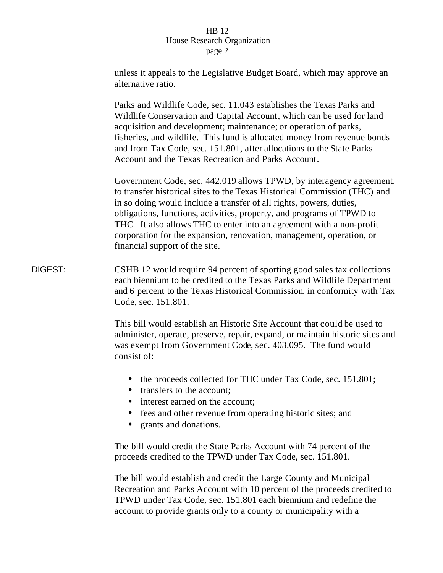|         | unless it appeals to the Legislative Budget Board, which may approve an<br>alternative ratio.                                                                                                                                                                                                                                                                                                                                                                                       |
|---------|-------------------------------------------------------------------------------------------------------------------------------------------------------------------------------------------------------------------------------------------------------------------------------------------------------------------------------------------------------------------------------------------------------------------------------------------------------------------------------------|
|         | Parks and Wildlife Code, sec. 11.043 establishes the Texas Parks and<br>Wildlife Conservation and Capital Account, which can be used for land<br>acquisition and development; maintenance; or operation of parks,<br>fisheries, and wildlife. This fund is allocated money from revenue bonds<br>and from Tax Code, sec. 151.801, after allocations to the State Parks<br>Account and the Texas Recreation and Parks Account.                                                       |
|         | Government Code, sec. 442.019 allows TPWD, by interagency agreement,<br>to transfer historical sites to the Texas Historical Commission (THC) and<br>in so doing would include a transfer of all rights, powers, duties,<br>obligations, functions, activities, property, and programs of TPWD to<br>THC. It also allows THC to enter into an agreement with a non-profit<br>corporation for the expansion, renovation, management, operation, or<br>financial support of the site. |
| DIGEST: | CSHB 12 would require 94 percent of sporting good sales tax collections<br>each biennium to be credited to the Texas Parks and Wildlife Department<br>and 6 percent to the Texas Historical Commission, in conformity with Tax<br>Code, sec. 151.801.                                                                                                                                                                                                                               |
|         | This bill would establish an Historic Site Account that could be used to<br>administer, operate, preserve, repair, expand, or maintain historic sites and<br>was exempt from Government Code, sec. 403.095. The fund would<br>consist of:                                                                                                                                                                                                                                           |
|         | the proceeds collected for THC under Tax Code, sec. 151.801;<br>$\bullet$<br>transfers to the account;<br>interest earned on the account;                                                                                                                                                                                                                                                                                                                                           |

- fees and other revenue from operating historic sites; and
- grants and donations.

The bill would credit the State Parks Account with 74 percent of the proceeds credited to the TPWD under Tax Code, sec. 151.801.

The bill would establish and credit the Large County and Municipal Recreation and Parks Account with 10 percent of the proceeds credited to TPWD under Tax Code, sec. 151.801 each biennium and redefine the account to provide grants only to a county or municipality with a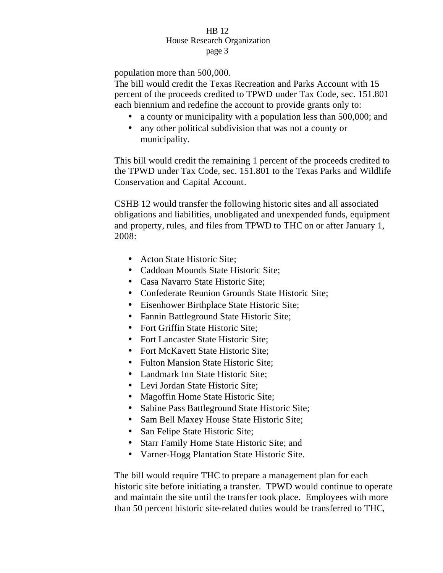population more than 500,000.

The bill would credit the Texas Recreation and Parks Account with 15 percent of the proceeds credited to TPWD under Tax Code, sec. 151.801 each biennium and redefine the account to provide grants only to:

- a county or municipality with a population less than 500,000; and
- any other political subdivision that was not a county or municipality.

This bill would credit the remaining 1 percent of the proceeds credited to the TPWD under Tax Code, sec. 151.801 to the Texas Parks and Wildlife Conservation and Capital Account.

CSHB 12 would transfer the following historic sites and all associated obligations and liabilities, unobligated and unexpended funds, equipment and property, rules, and files from TPWD to THC on or after January 1, 2008:

- Acton State Historic Site;
- Caddoan Mounds State Historic Site;
- Casa Navarro State Historic Site;
- Confederate Reunion Grounds State Historic Site;
- Eisenhower Birthplace State Historic Site;
- Fannin Battleground State Historic Site;
- Fort Griffin State Historic Site:
- Fort Lancaster State Historic Site:
- Fort McKavett State Historic Site;
- Fulton Mansion State Historic Site:
- Landmark Inn State Historic Site;
- Levi Jordan State Historic Site;
- Magoffin Home State Historic Site;
- Sabine Pass Battleground State Historic Site;
- Sam Bell Maxey House State Historic Site;
- San Felipe State Historic Site;
- Starr Family Home State Historic Site; and
- Varner-Hogg Plantation State Historic Site.

The bill would require THC to prepare a management plan for each historic site before initiating a transfer. TPWD would continue to operate and maintain the site until the transfer took place. Employees with more than 50 percent historic site-related duties would be transferred to THC,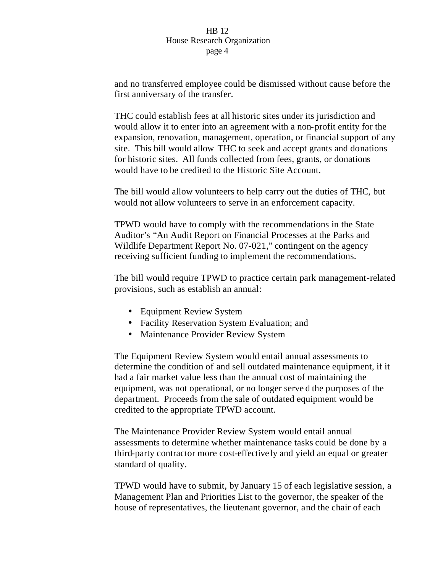and no transferred employee could be dismissed without cause before the first anniversary of the transfer.

THC could establish fees at all historic sites under its jurisdiction and would allow it to enter into an agreement with a non-profit entity for the expansion, renovation, management, operation, or financial support of any site. This bill would allow THC to seek and accept grants and donations for historic sites. All funds collected from fees, grants, or donations would have to be credited to the Historic Site Account.

The bill would allow volunteers to help carry out the duties of THC, but would not allow volunteers to serve in an enforcement capacity.

TPWD would have to comply with the recommendations in the State Auditor's "An Audit Report on Financial Processes at the Parks and Wildlife Department Report No. 07-021," contingent on the agency receiving sufficient funding to implement the recommendations.

The bill would require TPWD to practice certain park management-related provisions, such as establish an annual:

- Equipment Review System
- Facility Reservation System Evaluation; and
- Maintenance Provider Review System

The Equipment Review System would entail annual assessments to determine the condition of and sell outdated maintenance equipment, if it had a fair market value less than the annual cost of maintaining the equipment, was not operational, or no longer serve d the purposes of the department. Proceeds from the sale of outdated equipment would be credited to the appropriate TPWD account.

The Maintenance Provider Review System would entail annual assessments to determine whether maintenance tasks could be done by a third-party contractor more cost-effectively and yield an equal or greater standard of quality.

TPWD would have to submit, by January 15 of each legislative session, a Management Plan and Priorities List to the governor, the speaker of the house of representatives, the lieutenant governor, and the chair of each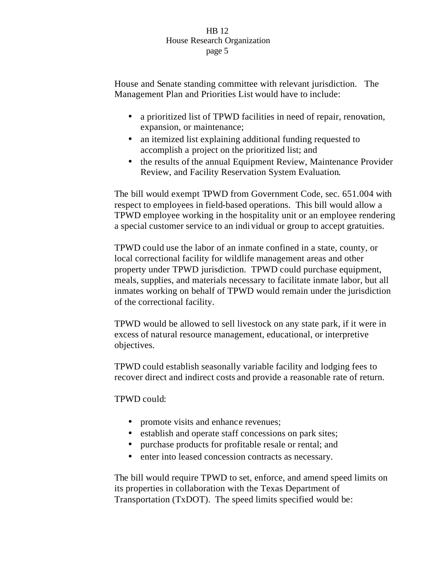House and Senate standing committee with relevant jurisdiction. The Management Plan and Priorities List would have to include:

- a prioritized list of TPWD facilities in need of repair, renovation, expansion, or maintenance;
- an itemized list explaining additional funding requested to accomplish a project on the prioritized list; and
- the results of the annual Equipment Review, Maintenance Provider Review, and Facility Reservation System Evaluation.

The bill would exempt TPWD from Government Code, sec. 651.004 with respect to employees in field-based operations. This bill would allow a TPWD employee working in the hospitality unit or an employee rendering a special customer service to an indi vidual or group to accept gratuities.

TPWD could use the labor of an inmate confined in a state, county, or local correctional facility for wildlife management areas and other property under TPWD jurisdiction. TPWD could purchase equipment, meals, supplies, and materials necessary to facilitate inmate labor, but all inmates working on behalf of TPWD would remain under the jurisdiction of the correctional facility.

TPWD would be allowed to sell livestock on any state park, if it were in excess of natural resource management, educational, or interpretive objectives.

TPWD could establish seasonally variable facility and lodging fees to recover direct and indirect costs and provide a reasonable rate of return.

TPWD could:

- promote visits and enhance revenues;
- establish and operate staff concessions on park sites;
- purchase products for profitable resale or rental; and
- enter into leased concession contracts as necessary.

The bill would require TPWD to set, enforce, and amend speed limits on its properties in collaboration with the Texas Department of Transportation (TxDOT). The speed limits specified would be: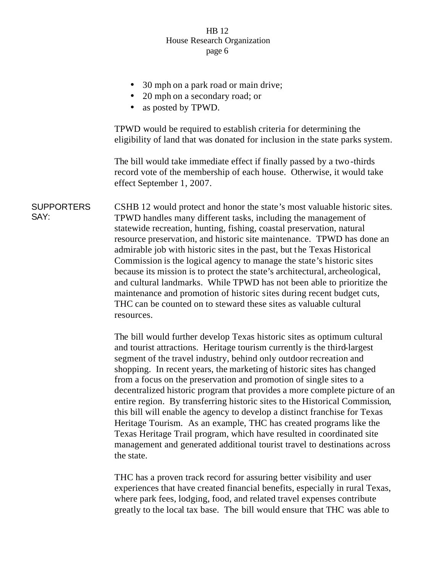- 30 mph on a park road or main drive;
- 20 mph on a secondary road; or
- as posted by TPWD.

TPWD would be required to establish criteria for determining the eligibility of land that was donated for inclusion in the state parks system.

The bill would take immediate effect if finally passed by a two-thirds record vote of the membership of each house. Otherwise, it would take effect September 1, 2007.

**SUPPORTERS** SAY: CSHB 12 would protect and honor the state's most valuable historic sites. TPWD handles many different tasks, including the management of statewide recreation, hunting, fishing, coastal preservation, natural resource preservation, and historic site maintenance. TPWD has done an admirable job with historic sites in the past, but the Texas Historical Commission is the logical agency to manage the state's historic sites because its mission is to protect the state's architectural, archeological, and cultural landmarks. While TPWD has not been able to prioritize the maintenance and promotion of historic sites during recent budget cuts, THC can be counted on to steward these sites as valuable cultural resources.

> The bill would further develop Texas historic sites as optimum cultural and tourist attractions. Heritage tourism currently is the third-largest segment of the travel industry, behind only outdoor recreation and shopping. In recent years, the marketing of historic sites has changed from a focus on the preservation and promotion of single sites to a decentralized historic program that provides a more complete picture of an entire region. By transferring historic sites to the Historical Commission, this bill will enable the agency to develop a distinct franchise for Texas Heritage Tourism. As an example, THC has created programs like the Texas Heritage Trail program, which have resulted in coordinated site management and generated additional tourist travel to destinations across the state.

THC has a proven track record for assuring better visibility and user experiences that have created financial benefits, especially in rural Texas, where park fees, lodging, food, and related travel expenses contribute greatly to the local tax base. The bill would ensure that THC was able to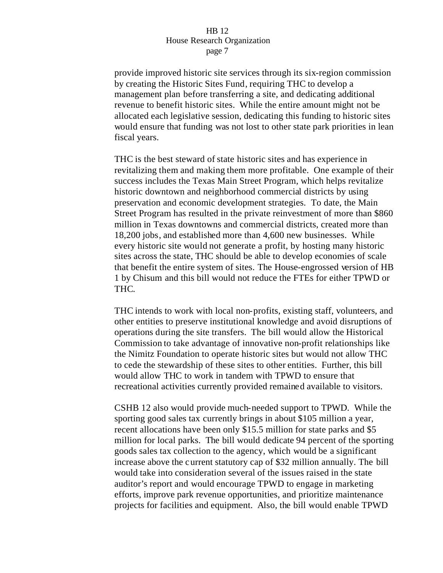provide improved historic site services through its six-region commission by creating the Historic Sites Fund, requiring THC to develop a management plan before transferring a site, and dedicating additional revenue to benefit historic sites. While the entire amount might not be allocated each legislative session, dedicating this funding to historic sites would ensure that funding was not lost to other state park priorities in lean fiscal years.

THC is the best steward of state historic sites and has experience in revitalizing them and making them more profitable. One example of their success includes the Texas Main Street Program, which helps revitalize historic downtown and neighborhood commercial districts by using preservation and economic development strategies. To date, the Main Street Program has resulted in the private reinvestment of more than \$860 million in Texas downtowns and commercial districts, created more than 18,200 jobs, and established more than 4,600 new businesses. While every historic site would not generate a profit, by hosting many historic sites across the state, THC should be able to develop economies of scale that benefit the entire system of sites. The House-engrossed version of HB 1 by Chisum and this bill would not reduce the FTEs for either TPWD or THC.

THC intends to work with local non-profits, existing staff, volunteers, and other entities to preserve institutional knowledge and avoid disruptions of operations during the site transfers. The bill would allow the Historical Commission to take advantage of innovative non-profit relationships like the Nimitz Foundation to operate historic sites but would not allow THC to cede the stewardship of these sites to other entities. Further, this bill would allow THC to work in tandem with TPWD to ensure that recreational activities currently provided remained available to visitors.

CSHB 12 also would provide much-needed support to TPWD. While the sporting good sales tax currently brings in about \$105 million a year, recent allocations have been only \$15.5 million for state parks and \$5 million for local parks. The bill would dedicate 94 percent of the sporting goods sales tax collection to the agency, which would be a significant increase above the current statutory cap of \$32 million annually. The bill would take into consideration several of the issues raised in the state auditor's report and would encourage TPWD to engage in marketing efforts, improve park revenue opportunities, and prioritize maintenance projects for facilities and equipment. Also, the bill would enable TPWD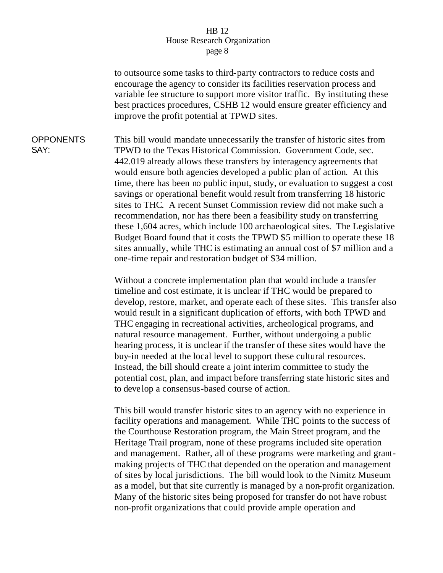to outsource some tasks to third-party contractors to reduce costs and encourage the agency to consider its facilities reservation process and variable fee structure to support more visitor traffic. By instituting these best practices procedures, CSHB 12 would ensure greater efficiency and improve the profit potential at TPWD sites.

**OPPONENTS** SAY: This bill would mandate unnecessarily the transfer of historic sites from TPWD to the Texas Historical Commission. Government Code, sec. 442.019 already allows these transfers by interagency agreements that would ensure both agencies developed a public plan of action. At this time, there has been no public input, study, or evaluation to suggest a cost savings or operational benefit would result from transferring 18 historic sites to THC. A recent Sunset Commission review did not make such a recommendation, nor has there been a feasibility study on transferring these 1,604 acres, which include 100 archaeological sites. The Legislative Budget Board found that it costs the TPWD \$5 million to operate these 18 sites annually, while THC is estimating an annual cost of \$7 million and a one-time repair and restoration budget of \$34 million.

> Without a concrete implementation plan that would include a transfer timeline and cost estimate, it is unclear if THC would be prepared to develop, restore, market, and operate each of these sites. This transfer also would result in a significant duplication of efforts, with both TPWD and THC engaging in recreational activities, archeological programs, and natural resource management. Further, without undergoing a public hearing process, it is unclear if the transfer of these sites would have the buy-in needed at the local level to support these cultural resources. Instead, the bill should create a joint interim committee to study the potential cost, plan, and impact before transferring state historic sites and to develop a consensus-based course of action.

> This bill would transfer historic sites to an agency with no experience in facility operations and management. While THC points to the success of the Courthouse Restoration program, the Main Street program, and the Heritage Trail program, none of these programs included site operation and management. Rather, all of these programs were marketing and grantmaking projects of THC that depended on the operation and management of sites by local jurisdictions. The bill would look to the Nimitz Museum as a model, but that site currently is managed by a non-profit organization. Many of the historic sites being proposed for transfer do not have robust non-profit organizations that could provide ample operation and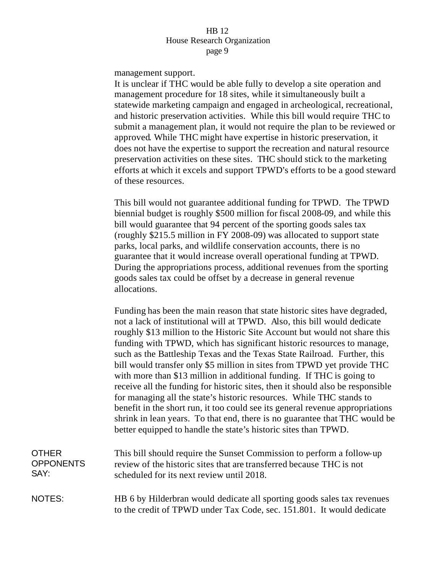management support.

It is unclear if THC would be able fully to develop a site operation and management procedure for 18 sites, while it simultaneously built a statewide marketing campaign and engaged in archeological, recreational, and historic preservation activities. While this bill would require THC to submit a management plan, it would not require the plan to be reviewed or approved. While THC might have expertise in historic preservation, it does not have the expertise to support the recreation and natural resource preservation activities on these sites. THC should stick to the marketing efforts at which it excels and support TPWD's efforts to be a good steward of these resources.

This bill would not guarantee additional funding for TPWD. The TPWD biennial budget is roughly \$500 million for fiscal 2008-09, and while this bill would guarantee that 94 percent of the sporting goods sales tax (roughly \$215.5 million in FY 2008-09) was allocated to support state parks, local parks, and wildlife conservation accounts, there is no guarantee that it would increase overall operational funding at TPWD. During the appropriations process, additional revenues from the sporting goods sales tax could be offset by a decrease in general revenue allocations.

Funding has been the main reason that state historic sites have degraded, not a lack of institutional will at TPWD. Also, this bill would dedicate roughly \$13 million to the Historic Site Account but would not share this funding with TPWD, which has significant historic resources to manage, such as the Battleship Texas and the Texas State Railroad. Further, this bill would transfer only \$5 million in sites from TPWD yet provide THC with more than \$13 million in additional funding. If THC is going to receive all the funding for historic sites, then it should also be responsible for managing all the state's historic resources. While THC stands to benefit in the short run, it too could see its general revenue appropriations shrink in lean years. To that end, there is no guarantee that THC would be better equipped to handle the state's historic sites than TPWD.

| OTHER            | This bill should require the Sunset Commission to perform a follow-up                                                                                                                                                                                                                                                                                                                                           |
|------------------|-----------------------------------------------------------------------------------------------------------------------------------------------------------------------------------------------------------------------------------------------------------------------------------------------------------------------------------------------------------------------------------------------------------------|
| <b>OPPONENTS</b> | review of the historic sites that are transferred because THC is not                                                                                                                                                                                                                                                                                                                                            |
| SAY:             | scheduled for its next review until 2018.                                                                                                                                                                                                                                                                                                                                                                       |
| $N = T$          | $\mathbf{I} \mathbf{I} \mathbf{I} \mathbf{I}$ $\mathbf{I} \mathbf{I} \mathbf{I}$ $\mathbf{I} \mathbf{I} \mathbf{I} \mathbf{I} \mathbf{I} \mathbf{I} \mathbf{I} \mathbf{I} \mathbf{I} \mathbf{I} \mathbf{I} \mathbf{I} \mathbf{I} \mathbf{I} \mathbf{I} \mathbf{I} \mathbf{I} \mathbf{I} \mathbf{I} \mathbf{I} \mathbf{I} \mathbf{I} \mathbf{I} \mathbf{I} \mathbf{I} \mathbf{I} \mathbf{I} \mathbf{I} \mathbf{$ |

# NOTES: HB 6 by Hilderbran would dedicate all sporting goods sales tax revenues to the credit of TPWD under Tax Code, sec. 151.801. It would dedicate